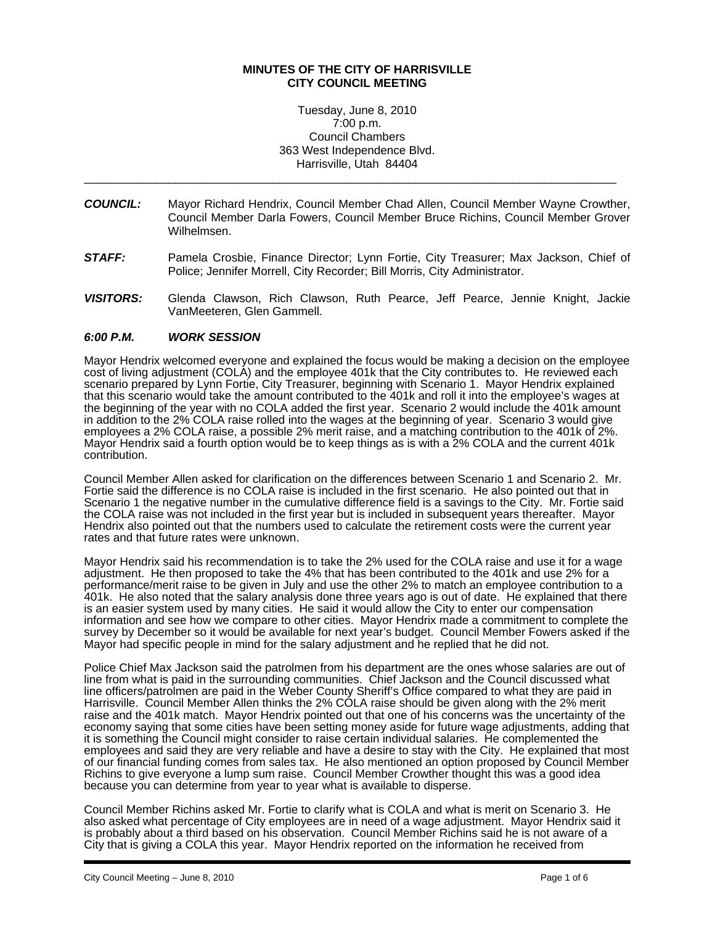# **MINUTES OF THE CITY OF HARRISVILLE CITY COUNCIL MEETING**

Tuesday, June 8, 2010 7:00 p.m. Council Chambers 363 West Independence Blvd. Harrisville, Utah 84404

\_\_\_\_\_\_\_\_\_\_\_\_\_\_\_\_\_\_\_\_\_\_\_\_\_\_\_\_\_\_\_\_\_\_\_\_\_\_\_\_\_\_\_\_\_\_\_\_\_\_\_\_\_\_\_\_\_\_\_\_\_\_\_\_\_\_\_\_\_\_\_\_\_\_\_\_\_\_\_\_\_\_

- *COUNCIL:* Mayor Richard Hendrix, Council Member Chad Allen, Council Member Wayne Crowther, Council Member Darla Fowers, Council Member Bruce Richins, Council Member Grover Wilhelmsen.
- **STAFF:** Pamela Crosbie, Finance Director; Lynn Fortie, City Treasurer; Max Jackson, Chief of Police; Jennifer Morrell, City Recorder; Bill Morris, City Administrator.
- *VISITORS:* Glenda Clawson, Rich Clawson, Ruth Pearce, Jeff Pearce, Jennie Knight, Jackie VanMeeteren, Glen Gammell.

### *6:00 P.M. WORK SESSION*

Mayor Hendrix welcomed everyone and explained the focus would be making a decision on the employee cost of living adjustment (COLA) and the employee 401k that the City contributes to. He reviewed each scenario prepared by Lynn Fortie, City Treasurer, beginning with Scenario 1. Mayor Hendrix explained that this scenario would take the amount contributed to the 401k and roll it into the employee's wages at the beginning of the year with no COLA added the first year. Scenario 2 would include the 401k amount in addition to the 2% COLA raise rolled into the wages at the beginning of year. Scenario 3 would give employees a 2% COLA raise, a possible 2% merit raise, and a matching contribution to the 401k of 2%. Mayor Hendrix said a fourth option would be to keep things as is with a 2% COLA and the current 401k contribution.

Council Member Allen asked for clarification on the differences between Scenario 1 and Scenario 2. Mr. Fortie said the difference is no COLA raise is included in the first scenario. He also pointed out that in Scenario 1 the negative number in the cumulative difference field is a savings to the City. Mr. Fortie said the COLA raise was not included in the first year but is included in subsequent years thereafter. Mayor Hendrix also pointed out that the numbers used to calculate the retirement costs were the current year rates and that future rates were unknown.

Mayor Hendrix said his recommendation is to take the 2% used for the COLA raise and use it for a wage adjustment. He then proposed to take the 4% that has been contributed to the 401k and use 2% for a performance/merit raise to be given in July and use the other 2% to match an employee contribution to a 401k. He also noted that the salary analysis done three years ago is out of date. He explained that there is an easier system used by many cities. He said it would allow the City to enter our compensation information and see how we compare to other cities. Mayor Hendrix made a commitment to complete the survey by December so it would be available for next year's budget. Council Member Fowers asked if the Mayor had specific people in mind for the salary adjustment and he replied that he did not.

Police Chief Max Jackson said the patrolmen from his department are the ones whose salaries are out of line from what is paid in the surrounding communities. Chief Jackson and the Council discussed what line officers/patrolmen are paid in the Weber County Sheriff's Office compared to what they are paid in Harrisville. Council Member Allen thinks the 2% COLA raise should be given along with the 2% merit raise and the 401k match. Mayor Hendrix pointed out that one of his concerns was the uncertainty of the economy saying that some cities have been setting money aside for future wage adjustments, adding that it is something the Council might consider to raise certain individual salaries. He complemented the employees and said they are very reliable and have a desire to stay with the City. He explained that most of our financial funding comes from sales tax. He also mentioned an option proposed by Council Member Richins to give everyone a lump sum raise. Council Member Crowther thought this was a good idea because you can determine from year to year what is available to disperse.

Council Member Richins asked Mr. Fortie to clarify what is COLA and what is merit on Scenario 3. He also asked what percentage of City employees are in need of a wage adjustment. Mayor Hendrix said it is probably about a third based on his observation. Council Member Richins said he is not aware of a City that is giving a COLA this year. Mayor Hendrix reported on the information he received from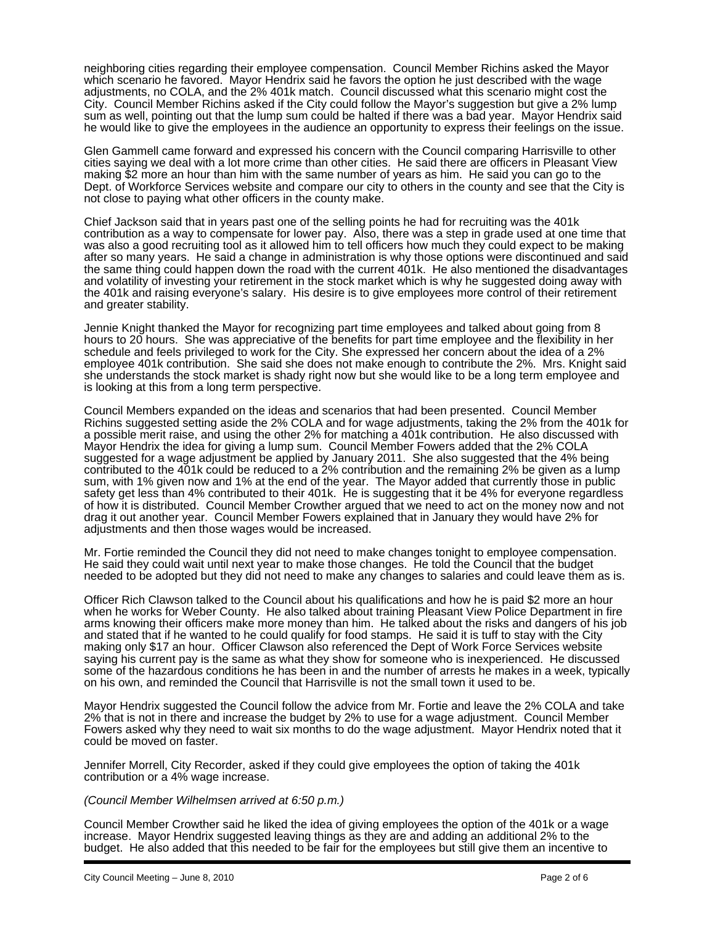neighboring cities regarding their employee compensation. Council Member Richins asked the Mayor which scenario he favored. Mayor Hendrix said he favors the option he just described with the wage adjustments, no COLA, and the 2% 401k match. Council discussed what this scenario might cost the City. Council Member Richins asked if the City could follow the Mayor's suggestion but give a 2% lump sum as well, pointing out that the lump sum could be halted if there was a bad year. Mayor Hendrix said he would like to give the employees in the audience an opportunity to express their feelings on the issue.

Glen Gammell came forward and expressed his concern with the Council comparing Harrisville to other cities saying we deal with a lot more crime than other cities. He said there are officers in Pleasant View making \$2 more an hour than him with the same number of years as him. He said you can go to the Dept. of Workforce Services website and compare our city to others in the county and see that the City is not close to paying what other officers in the county make.

Chief Jackson said that in years past one of the selling points he had for recruiting was the 401k contribution as a way to compensate for lower pay. Also, there was a step in grade used at one time that was also a good recruiting tool as it allowed him to tell officers how much they could expect to be making after so many years. He said a change in administration is why those options were discontinued and said the same thing could happen down the road with the current 401k. He also mentioned the disadvantages and volatility of investing your retirement in the stock market which is why he suggested doing away with the 401k and raising everyone's salary. His desire is to give employees more control of their retirement and greater stability.

Jennie Knight thanked the Mayor for recognizing part time employees and talked about going from 8 hours to 20 hours. She was appreciative of the benefits for part time employee and the flexibility in her schedule and feels privileged to work for the City. She expressed her concern about the idea of a 2% employee 401k contribution. She said she does not make enough to contribute the 2%. Mrs. Knight said she understands the stock market is shady right now but she would like to be a long term employee and is looking at this from a long term perspective.

Council Members expanded on the ideas and scenarios that had been presented. Council Member Richins suggested setting aside the 2% COLA and for wage adjustments, taking the 2% from the 401k for a possible merit raise, and using the other 2% for matching a 401k contribution. He also discussed with Mayor Hendrix the idea for giving a lump sum. Council Member Fowers added that the 2% COLA suggested for a wage adjustment be applied by January 2011. She also suggested that the 4% being contributed to the 401k could be reduced to a 2% contribution and the remaining 2% be given as a lump sum, with 1% given now and 1% at the end of the year. The Mayor added that currently those in public safety get less than 4% contributed to their 401k. He is suggesting that it be 4% for everyone regardless of how it is distributed. Council Member Crowther argued that we need to act on the money now and not drag it out another year. Council Member Fowers explained that in January they would have 2% for adjustments and then those wages would be increased.

Mr. Fortie reminded the Council they did not need to make changes tonight to employee compensation. He said they could wait until next year to make those changes. He told the Council that the budget needed to be adopted but they did not need to make any changes to salaries and could leave them as is.

Officer Rich Clawson talked to the Council about his qualifications and how he is paid \$2 more an hour when he works for Weber County. He also talked about training Pleasant View Police Department in fire arms knowing their officers make more money than him. He talked about the risks and dangers of his job and stated that if he wanted to he could qualify for food stamps. He said it is tuff to stay with the City making only \$17 an hour. Officer Clawson also referenced the Dept of Work Force Services website saying his current pay is the same as what they show for someone who is inexperienced. He discussed some of the hazardous conditions he has been in and the number of arrests he makes in a week, typically on his own, and reminded the Council that Harrisville is not the small town it used to be.

Mayor Hendrix suggested the Council follow the advice from Mr. Fortie and leave the 2% COLA and take 2% that is not in there and increase the budget by 2% to use for a wage adjustment. Council Member Fowers asked why they need to wait six months to do the wage adjustment. Mayor Hendrix noted that it could be moved on faster.

Jennifer Morrell, City Recorder, asked if they could give employees the option of taking the 401k contribution or a 4% wage increase.

#### *(Council Member Wilhelmsen arrived at 6:50 p.m.)*

Council Member Crowther said he liked the idea of giving employees the option of the 401k or a wage increase. Mayor Hendrix suggested leaving things as they are and adding an additional 2% to the budget. He also added that this needed to be fair for the employees but still give them an incentive to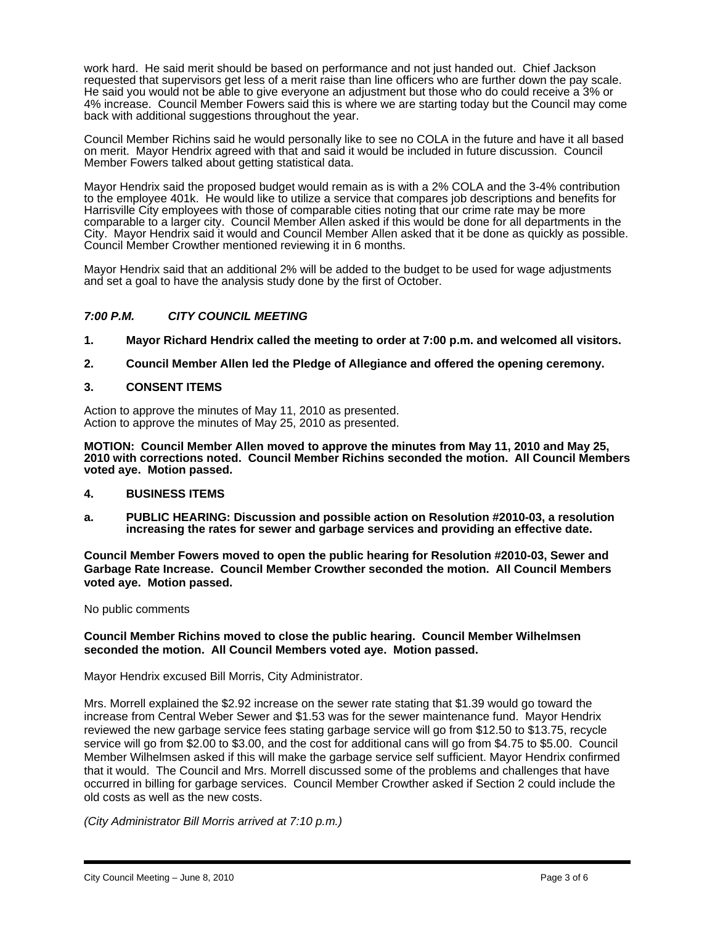work hard. He said merit should be based on performance and not just handed out. Chief Jackson requested that supervisors get less of a merit raise than line officers who are further down the pay scale. He said you would not be able to give everyone an adjustment but those who do could receive a 3% or 4% increase. Council Member Fowers said this is where we are starting today but the Council may come back with additional suggestions throughout the year.

Council Member Richins said he would personally like to see no COLA in the future and have it all based on merit. Mayor Hendrix agreed with that and said it would be included in future discussion. Council Member Fowers talked about getting statistical data.

Mayor Hendrix said the proposed budget would remain as is with a 2% COLA and the 3-4% contribution to the employee 401k. He would like to utilize a service that compares job descriptions and benefits for Harrisville City employees with those of comparable cities noting that our crime rate may be more comparable to a larger city. Council Member Allen asked if this would be done for all departments in the City. Mayor Hendrix said it would and Council Member Allen asked that it be done as quickly as possible. Council Member Crowther mentioned reviewing it in 6 months.

Mayor Hendrix said that an additional 2% will be added to the budget to be used for wage adjustments and set a goal to have the analysis study done by the first of October.

# *7:00 P.M. CITY COUNCIL MEETING*

- **1. Mayor Richard Hendrix called the meeting to order at 7:00 p.m. and welcomed all visitors.**
- **2. Council Member Allen led the Pledge of Allegiance and offered the opening ceremony.**

#### **3. CONSENT ITEMS**

Action to approve the minutes of May 11, 2010 as presented. Action to approve the minutes of May 25, 2010 as presented.

**MOTION: Council Member Allen moved to approve the minutes from May 11, 2010 and May 25, 2010 with corrections noted. Council Member Richins seconded the motion. All Council Members voted aye. Motion passed.** 

- **4. BUSINESS ITEMS**
- **a. PUBLIC HEARING: Discussion and possible action on Resolution #2010-03, a resolution increasing the rates for sewer and garbage services and providing an effective date.**

**Council Member Fowers moved to open the public hearing for Resolution #2010-03, Sewer and Garbage Rate Increase. Council Member Crowther seconded the motion. All Council Members voted aye. Motion passed.** 

No public comments

### **Council Member Richins moved to close the public hearing. Council Member Wilhelmsen seconded the motion. All Council Members voted aye. Motion passed.**

Mayor Hendrix excused Bill Morris, City Administrator.

Mrs. Morrell explained the \$2.92 increase on the sewer rate stating that \$1.39 would go toward the increase from Central Weber Sewer and \$1.53 was for the sewer maintenance fund. Mayor Hendrix reviewed the new garbage service fees stating garbage service will go from \$12.50 to \$13.75, recycle service will go from \$2.00 to \$3.00, and the cost for additional cans will go from \$4.75 to \$5.00. Council Member Wilhelmsen asked if this will make the garbage service self sufficient. Mayor Hendrix confirmed that it would. The Council and Mrs. Morrell discussed some of the problems and challenges that have occurred in billing for garbage services. Council Member Crowther asked if Section 2 could include the old costs as well as the new costs.

*(City Administrator Bill Morris arrived at 7:10 p.m.)*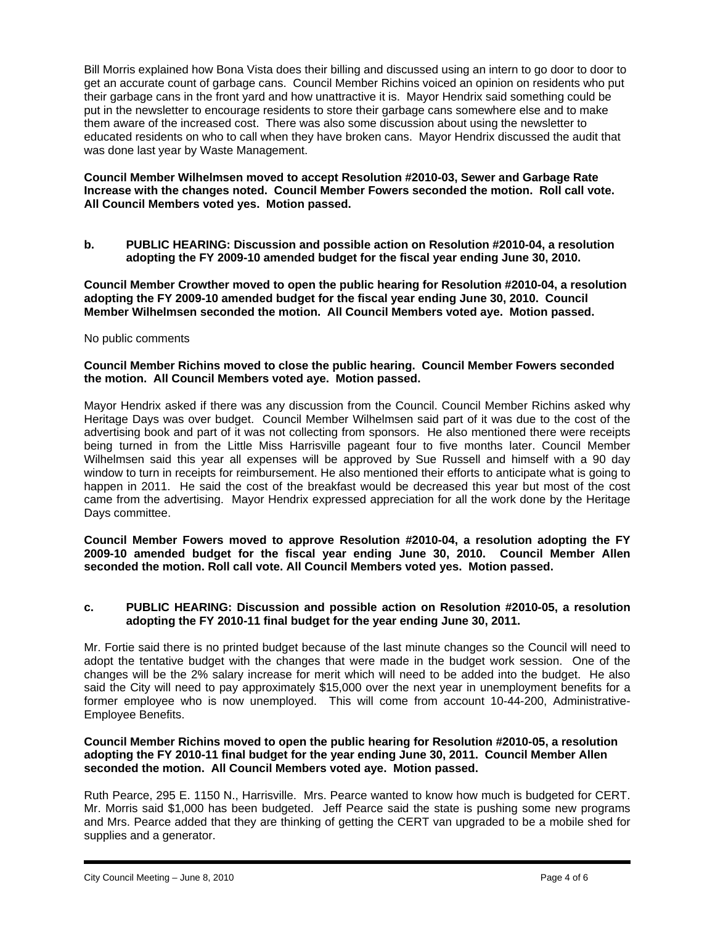Bill Morris explained how Bona Vista does their billing and discussed using an intern to go door to door to get an accurate count of garbage cans. Council Member Richins voiced an opinion on residents who put their garbage cans in the front yard and how unattractive it is. Mayor Hendrix said something could be put in the newsletter to encourage residents to store their garbage cans somewhere else and to make them aware of the increased cost. There was also some discussion about using the newsletter to educated residents on who to call when they have broken cans. Mayor Hendrix discussed the audit that was done last year by Waste Management.

# **Council Member Wilhelmsen moved to accept Resolution #2010-03, Sewer and Garbage Rate Increase with the changes noted. Council Member Fowers seconded the motion. Roll call vote. All Council Members voted yes. Motion passed.**

**b. PUBLIC HEARING: Discussion and possible action on Resolution #2010-04, a resolution adopting the FY 2009-10 amended budget for the fiscal year ending June 30, 2010.** 

**Council Member Crowther moved to open the public hearing for Resolution #2010-04, a resolution adopting the FY 2009-10 amended budget for the fiscal year ending June 30, 2010. Council Member Wilhelmsen seconded the motion. All Council Members voted aye. Motion passed.** 

# No public comments

### **Council Member Richins moved to close the public hearing. Council Member Fowers seconded the motion. All Council Members voted aye. Motion passed.**

Mayor Hendrix asked if there was any discussion from the Council. Council Member Richins asked why Heritage Days was over budget. Council Member Wilhelmsen said part of it was due to the cost of the advertising book and part of it was not collecting from sponsors. He also mentioned there were receipts being turned in from the Little Miss Harrisville pageant four to five months later. Council Member Wilhelmsen said this year all expenses will be approved by Sue Russell and himself with a 90 day window to turn in receipts for reimbursement. He also mentioned their efforts to anticipate what is going to happen in 2011. He said the cost of the breakfast would be decreased this year but most of the cost came from the advertising. Mayor Hendrix expressed appreciation for all the work done by the Heritage Days committee.

**Council Member Fowers moved to approve Resolution #2010-04, a resolution adopting the FY 2009-10 amended budget for the fiscal year ending June 30, 2010. Council Member Allen seconded the motion. Roll call vote. All Council Members voted yes. Motion passed.** 

# **c. PUBLIC HEARING: Discussion and possible action on Resolution #2010-05, a resolution adopting the FY 2010-11 final budget for the year ending June 30, 2011.**

Mr. Fortie said there is no printed budget because of the last minute changes so the Council will need to adopt the tentative budget with the changes that were made in the budget work session. One of the changes will be the 2% salary increase for merit which will need to be added into the budget. He also said the City will need to pay approximately \$15,000 over the next year in unemployment benefits for a former employee who is now unemployed. This will come from account 10-44-200, Administrative-Employee Benefits.

# **Council Member Richins moved to open the public hearing for Resolution #2010-05, a resolution adopting the FY 2010-11 final budget for the year ending June 30, 2011. Council Member Allen seconded the motion. All Council Members voted aye. Motion passed.**

Ruth Pearce, 295 E. 1150 N., Harrisville. Mrs. Pearce wanted to know how much is budgeted for CERT. Mr. Morris said \$1,000 has been budgeted. Jeff Pearce said the state is pushing some new programs and Mrs. Pearce added that they are thinking of getting the CERT van upgraded to be a mobile shed for supplies and a generator.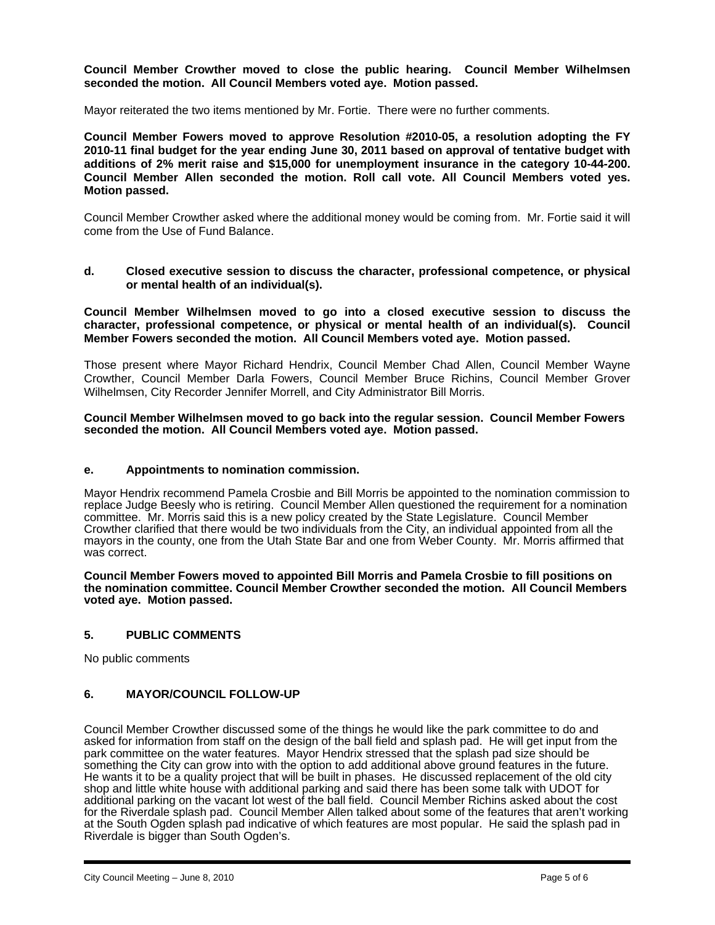# **Council Member Crowther moved to close the public hearing. Council Member Wilhelmsen seconded the motion. All Council Members voted aye. Motion passed.**

Mayor reiterated the two items mentioned by Mr. Fortie. There were no further comments.

**Council Member Fowers moved to approve Resolution #2010-05, a resolution adopting the FY 2010-11 final budget for the year ending June 30, 2011 based on approval of tentative budget with additions of 2% merit raise and \$15,000 for unemployment insurance in the category 10-44-200. Council Member Allen seconded the motion. Roll call vote. All Council Members voted yes. Motion passed.** 

Council Member Crowther asked where the additional money would be coming from. Mr. Fortie said it will come from the Use of Fund Balance.

**d. Closed executive session to discuss the character, professional competence, or physical or mental health of an individual(s).** 

**Council Member Wilhelmsen moved to go into a closed executive session to discuss the character, professional competence, or physical or mental health of an individual(s). Council Member Fowers seconded the motion. All Council Members voted aye. Motion passed.** 

Those present where Mayor Richard Hendrix, Council Member Chad Allen, Council Member Wayne Crowther, Council Member Darla Fowers, Council Member Bruce Richins, Council Member Grover Wilhelmsen, City Recorder Jennifer Morrell, and City Administrator Bill Morris.

**Council Member Wilhelmsen moved to go back into the regular session. Council Member Fowers seconded the motion. All Council Members voted aye. Motion passed.** 

#### **e. Appointments to nomination commission.**

Mayor Hendrix recommend Pamela Crosbie and Bill Morris be appointed to the nomination commission to replace Judge Beesly who is retiring. Council Member Allen questioned the requirement for a nomination committee. Mr. Morris said this is a new policy created by the State Legislature. Council Member Crowther clarified that there would be two individuals from the City, an individual appointed from all the mayors in the county, one from the Utah State Bar and one from Weber County. Mr. Morris affirmed that was correct.

**Council Member Fowers moved to appointed Bill Morris and Pamela Crosbie to fill positions on the nomination committee. Council Member Crowther seconded the motion. All Council Members voted aye. Motion passed.** 

# **5. PUBLIC COMMENTS**

No public comments

# **6. MAYOR/COUNCIL FOLLOW-UP**

Council Member Crowther discussed some of the things he would like the park committee to do and asked for information from staff on the design of the ball field and splash pad. He will get input from the park committee on the water features. Mayor Hendrix stressed that the splash pad size should be something the City can grow into with the option to add additional above ground features in the future. He wants it to be a quality project that will be built in phases. He discussed replacement of the old city shop and little white house with additional parking and said there has been some talk with UDOT for additional parking on the vacant lot west of the ball field. Council Member Richins asked about the cost for the Riverdale splash pad. Council Member Allen talked about some of the features that aren't working at the South Ogden splash pad indicative of which features are most popular. He said the splash pad in Riverdale is bigger than South Ogden's.